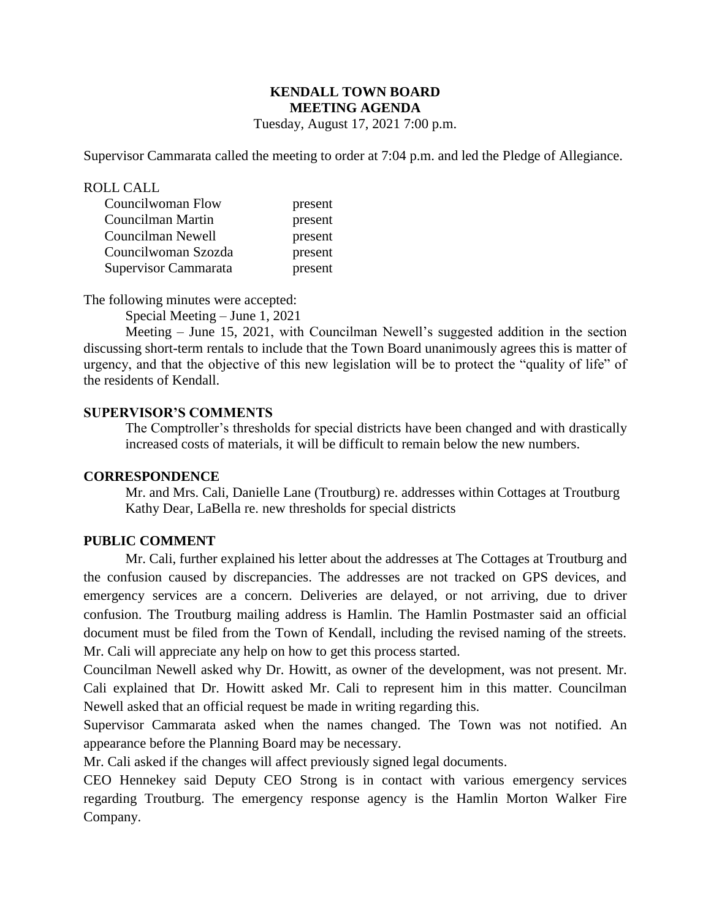# **KENDALL TOWN BOARD MEETING AGENDA**

Tuesday, August 17, 2021 7:00 p.m.

Supervisor Cammarata called the meeting to order at 7:04 p.m. and led the Pledge of Allegiance.

#### ROLL CALL

| Councilwoman Flow    | present |
|----------------------|---------|
| Councilman Martin    | present |
| Councilman Newell    | present |
| Councilwoman Szozda  | present |
| Supervisor Cammarata | present |

The following minutes were accepted:

Special Meeting – June 1, 2021

Meeting – June 15, 2021, with Councilman Newell's suggested addition in the section discussing short-term rentals to include that the Town Board unanimously agrees this is matter of urgency, and that the objective of this new legislation will be to protect the "quality of life" of the residents of Kendall.

#### **SUPERVISOR'S COMMENTS**

The Comptroller's thresholds for special districts have been changed and with drastically increased costs of materials, it will be difficult to remain below the new numbers.

#### **CORRESPONDENCE**

Mr. and Mrs. Cali, Danielle Lane (Troutburg) re. addresses within Cottages at Troutburg Kathy Dear, LaBella re. new thresholds for special districts

#### **PUBLIC COMMENT**

Mr. Cali, further explained his letter about the addresses at The Cottages at Troutburg and the confusion caused by discrepancies. The addresses are not tracked on GPS devices, and emergency services are a concern. Deliveries are delayed, or not arriving, due to driver confusion. The Troutburg mailing address is Hamlin. The Hamlin Postmaster said an official document must be filed from the Town of Kendall, including the revised naming of the streets. Mr. Cali will appreciate any help on how to get this process started.

Councilman Newell asked why Dr. Howitt, as owner of the development, was not present. Mr. Cali explained that Dr. Howitt asked Mr. Cali to represent him in this matter. Councilman Newell asked that an official request be made in writing regarding this.

Supervisor Cammarata asked when the names changed. The Town was not notified. An appearance before the Planning Board may be necessary.

Mr. Cali asked if the changes will affect previously signed legal documents.

CEO Hennekey said Deputy CEO Strong is in contact with various emergency services regarding Troutburg. The emergency response agency is the Hamlin Morton Walker Fire Company.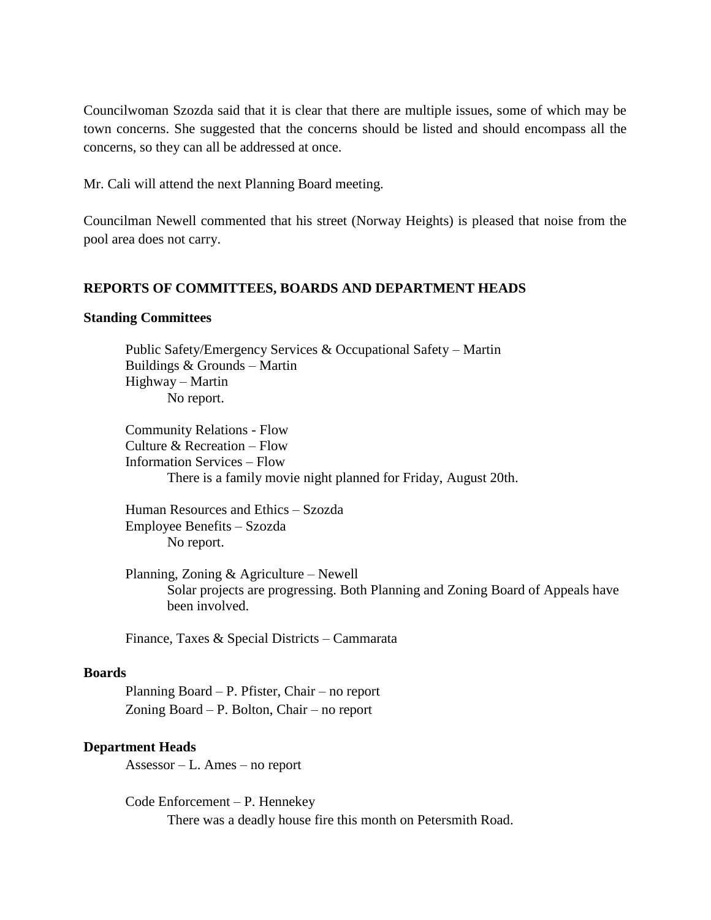Councilwoman Szozda said that it is clear that there are multiple issues, some of which may be town concerns. She suggested that the concerns should be listed and should encompass all the concerns, so they can all be addressed at once.

Mr. Cali will attend the next Planning Board meeting.

Councilman Newell commented that his street (Norway Heights) is pleased that noise from the pool area does not carry.

## **REPORTS OF COMMITTEES, BOARDS AND DEPARTMENT HEADS**

#### **Standing Committees**

 Public Safety/Emergency Services & Occupational Safety – Martin Buildings & Grounds – Martin Highway – Martin No report.

Community Relations - Flow Culture & Recreation – Flow Information Services – Flow There is a family movie night planned for Friday, August 20th.

Human Resources and Ethics – Szozda Employee Benefits – Szozda No report.

Planning, Zoning & Agriculture – Newell Solar projects are progressing. Both Planning and Zoning Board of Appeals have been involved.

Finance, Taxes & Special Districts – Cammarata

## **Boards**

Planning Board – P. Pfister, Chair – no report Zoning Board – P. Bolton, Chair – no report

## **Department Heads**

Assessor – L. Ames – no report

Code Enforcement – P. Hennekey There was a deadly house fire this month on Petersmith Road.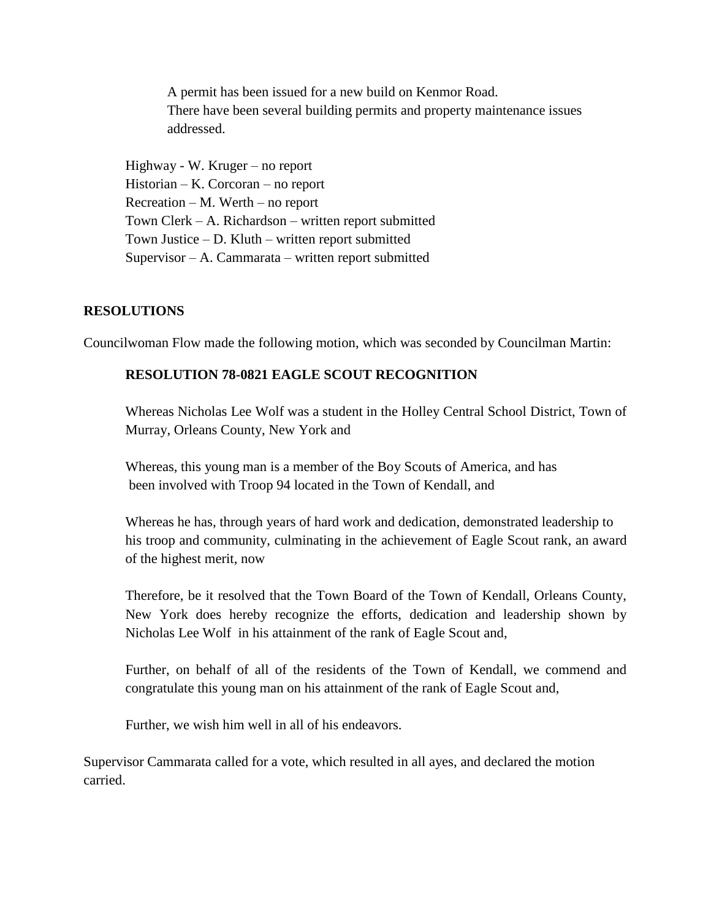A permit has been issued for a new build on Kenmor Road. There have been several building permits and property maintenance issues addressed.

Highway - W. Kruger – no report Historian – K. Corcoran – no report Recreation – M. Werth – no report Town Clerk – A. Richardson – written report submitted Town Justice – D. Kluth – written report submitted Supervisor – A. Cammarata – written report submitted

## **RESOLUTIONS**

Councilwoman Flow made the following motion, which was seconded by Councilman Martin:

# **RESOLUTION 78-0821 EAGLE SCOUT RECOGNITION**

Whereas Nicholas Lee Wolf was a student in the Holley Central School District, Town of Murray, Orleans County, New York and

Whereas, this young man is a member of the Boy Scouts of America, and has been involved with Troop 94 located in the Town of Kendall, and

Whereas he has, through years of hard work and dedication, demonstrated leadership to his troop and community, culminating in the achievement of Eagle Scout rank, an award of the highest merit, now

Therefore, be it resolved that the Town Board of the Town of Kendall, Orleans County, New York does hereby recognize the efforts, dedication and leadership shown by Nicholas Lee Wolf in his attainment of the rank of Eagle Scout and,

Further, on behalf of all of the residents of the Town of Kendall, we commend and congratulate this young man on his attainment of the rank of Eagle Scout and,

Further, we wish him well in all of his endeavors.

Supervisor Cammarata called for a vote, which resulted in all ayes, and declared the motion carried.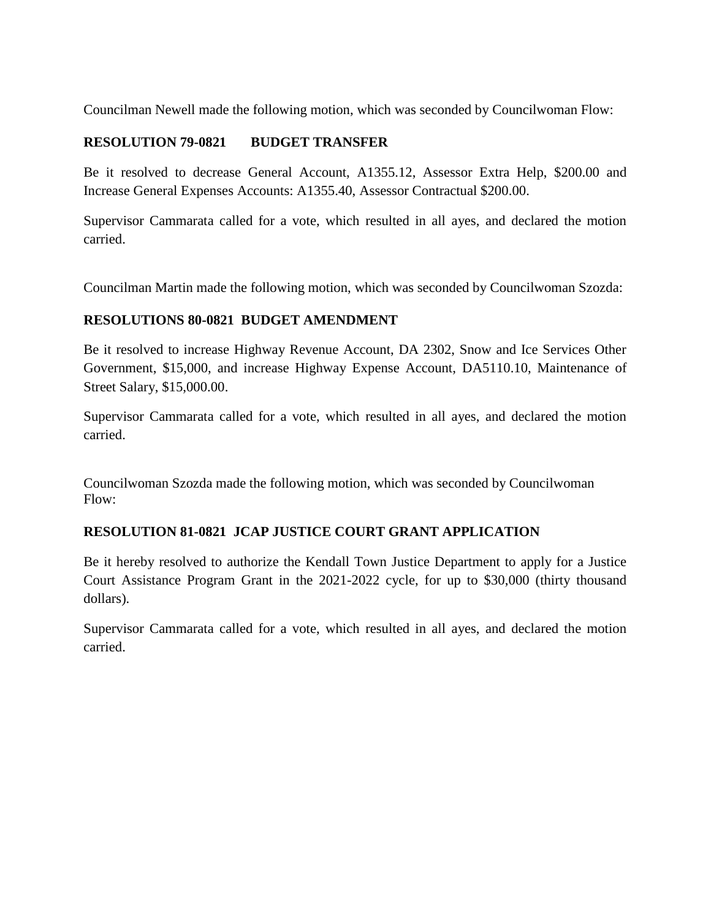Councilman Newell made the following motion, which was seconded by Councilwoman Flow:

## **RESOLUTION 79-0821 BUDGET TRANSFER**

Be it resolved to decrease General Account, A1355.12, Assessor Extra Help, \$200.00 and Increase General Expenses Accounts: A1355.40, Assessor Contractual \$200.00.

Supervisor Cammarata called for a vote, which resulted in all ayes, and declared the motion carried.

Councilman Martin made the following motion, which was seconded by Councilwoman Szozda:

# **RESOLUTIONS 80-0821 BUDGET AMENDMENT**

Be it resolved to increase Highway Revenue Account, DA 2302, Snow and Ice Services Other Government, \$15,000, and increase Highway Expense Account, DA5110.10, Maintenance of Street Salary, \$15,000.00.

Supervisor Cammarata called for a vote, which resulted in all ayes, and declared the motion carried.

Councilwoman Szozda made the following motion, which was seconded by Councilwoman Flow:

# **RESOLUTION 81-0821 JCAP JUSTICE COURT GRANT APPLICATION**

Be it hereby resolved to authorize the Kendall Town Justice Department to apply for a Justice Court Assistance Program Grant in the 2021-2022 cycle, for up to \$30,000 (thirty thousand dollars).

Supervisor Cammarata called for a vote, which resulted in all ayes, and declared the motion carried.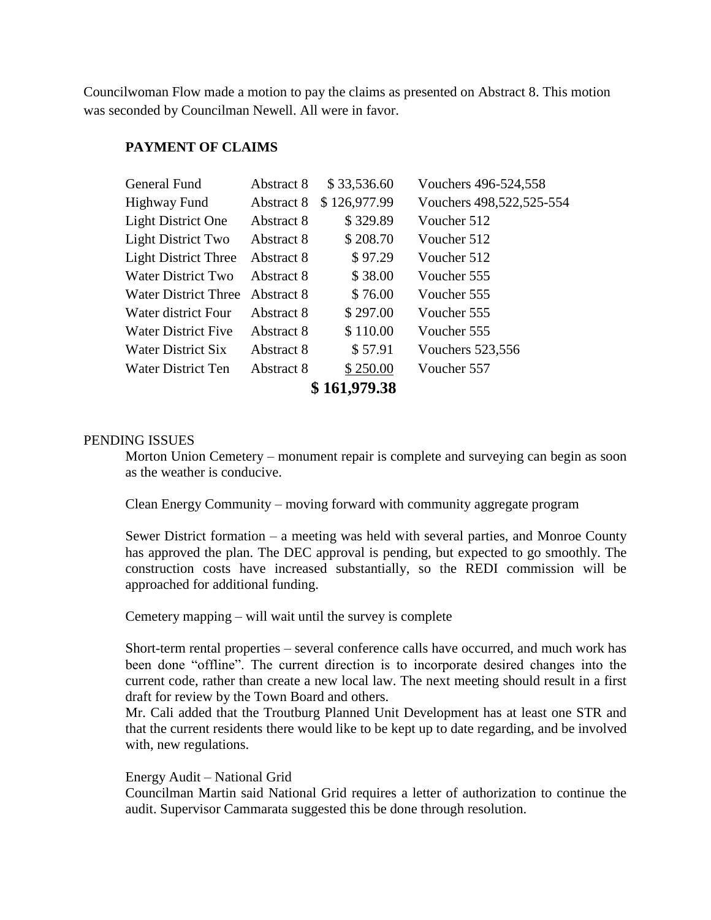Councilwoman Flow made a motion to pay the claims as presented on Abstract 8. This motion was seconded by Councilman Newell. All were in favor.

## **PAYMENT OF CLAIMS**

| General Fund                | Abstract 8 | \$33,536.60  | Vouchers 496-524,558     |  |
|-----------------------------|------------|--------------|--------------------------|--|
| Highway Fund                | Abstract 8 | \$126,977.99 | Vouchers 498,522,525-554 |  |
| <b>Light District One</b>   | Abstract 8 | \$329.89     | Voucher 512              |  |
| <b>Light District Two</b>   | Abstract 8 | \$208.70     | Voucher 512              |  |
| <b>Light District Three</b> | Abstract 8 | \$97.29      | Voucher 512              |  |
| Water District Two          | Abstract 8 | \$38.00      | Voucher 555              |  |
| <b>Water District Three</b> | Abstract 8 | \$76.00      | Voucher 555              |  |
| Water district Four         | Abstract 8 | \$297.00     | Voucher 555              |  |
| <b>Water District Five</b>  | Abstract 8 | \$110.00     | Voucher 555              |  |
| Water District Six          | Abstract 8 | \$57.91      | Vouchers 523,556         |  |
| Water District Ten          | Abstract 8 | \$250.00     | Voucher 557              |  |
| \$161,979.38                |            |              |                          |  |

## PENDING ISSUES

Morton Union Cemetery – monument repair is complete and surveying can begin as soon as the weather is conducive.

Clean Energy Community – moving forward with community aggregate program

Sewer District formation – a meeting was held with several parties, and Monroe County has approved the plan. The DEC approval is pending, but expected to go smoothly. The construction costs have increased substantially, so the REDI commission will be approached for additional funding.

Cemetery mapping – will wait until the survey is complete

Short-term rental properties – several conference calls have occurred, and much work has been done "offline". The current direction is to incorporate desired changes into the current code, rather than create a new local law. The next meeting should result in a first draft for review by the Town Board and others.

Mr. Cali added that the Troutburg Planned Unit Development has at least one STR and that the current residents there would like to be kept up to date regarding, and be involved with, new regulations.

#### Energy Audit – National Grid

Councilman Martin said National Grid requires a letter of authorization to continue the audit. Supervisor Cammarata suggested this be done through resolution.